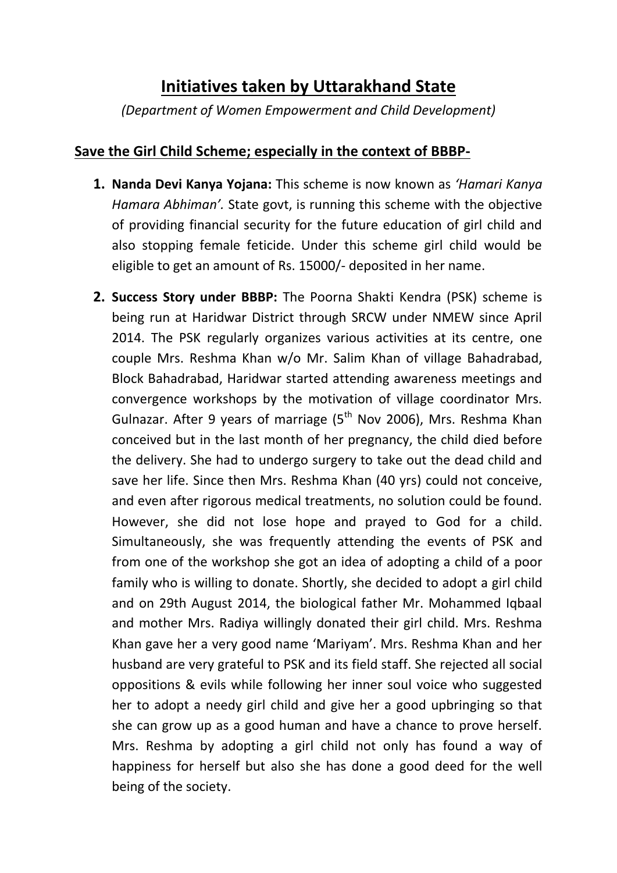## **Initiatives taken by Uttarakhand State**

*(Department of Women Empowerment and Child Development)*

## **Save the Girl Child Scheme; especially in the context of BBBP-**

- **1. Nanda Devi Kanya Yojana:** This scheme is now known as *'Hamari Kanya Hamara Abhiman'.* State govt, is running this scheme with the objective of providing financial security for the future education of girl child and also stopping female feticide. Under this scheme girl child would be eligible to get an amount of Rs. 15000/- deposited in her name.
- **2. Success Story under BBBP:** The Poorna Shakti Kendra (PSK) scheme is being run at Haridwar District through SRCW under NMEW since April 2014. The PSK regularly organizes various activities at its centre, one couple Mrs. Reshma Khan w/o Mr. Salim Khan of village Bahadrabad, Block Bahadrabad, Haridwar started attending awareness meetings and convergence workshops by the motivation of village coordinator Mrs. Gulnazar. After 9 years of marriage ( $5<sup>th</sup>$  Nov 2006), Mrs. Reshma Khan conceived but in the last month of her pregnancy, the child died before the delivery. She had to undergo surgery to take out the dead child and save her life. Since then Mrs. Reshma Khan (40 yrs) could not conceive, and even after rigorous medical treatments, no solution could be found. However, she did not lose hope and prayed to God for a child. Simultaneously, she was frequently attending the events of PSK and from one of the workshop she got an idea of adopting a child of a poor family who is willing to donate. Shortly, she decided to adopt a girl child and on 29th August 2014, the biological father Mr. Mohammed Iqbaal and mother Mrs. Radiya willingly donated their girl child. Mrs. Reshma Khan gave her a very good name 'Mariyam'. Mrs. Reshma Khan and her husband are very grateful to PSK and its field staff. She rejected all social oppositions & evils while following her inner soul voice who suggested her to adopt a needy girl child and give her a good upbringing so that she can grow up as a good human and have a chance to prove herself. Mrs. Reshma by adopting a girl child not only has found a way of happiness for herself but also she has done a good deed for the well being of the society.